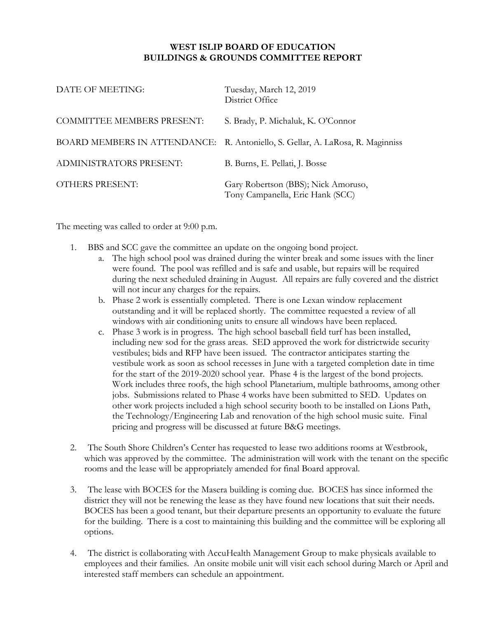## **WEST ISLIP BOARD OF EDUCATION BUILDINGS & GROUNDS COMMITTEE REPORT**

| DATE OF MEETING:                  | Tuesday, March 12, 2019<br>District Office                                     |
|-----------------------------------|--------------------------------------------------------------------------------|
| <b>COMMITTEE MEMBERS PRESENT:</b> | S. Brady, P. Michaluk, K. O'Connor                                             |
|                                   | BOARD MEMBERS IN ATTENDANCE: R. Antoniello, S. Gellar, A. LaRosa, R. Maginniss |
| <b>ADMINISTRATORS PRESENT:</b>    | B. Burns, E. Pellati, J. Bosse                                                 |
| <b>OTHERS PRESENT:</b>            | Gary Robertson (BBS); Nick Amoruso,<br>Tony Campanella, Eric Hank (SCC)        |

The meeting was called to order at 9:00 p.m.

- 1. BBS and SCC gave the committee an update on the ongoing bond project.
	- a. The high school pool was drained during the winter break and some issues with the liner were found. The pool was refilled and is safe and usable, but repairs will be required during the next scheduled draining in August. All repairs are fully covered and the district will not incur any charges for the repairs.
	- b. Phase 2 work is essentially completed. There is one Lexan window replacement outstanding and it will be replaced shortly. The committee requested a review of all windows with air conditioning units to ensure all windows have been replaced.
	- c. Phase 3 work is in progress. The high school baseball field turf has been installed, including new sod for the grass areas. SED approved the work for districtwide security vestibules; bids and RFP have been issued. The contractor anticipates starting the vestibule work as soon as school recesses in June with a targeted completion date in time for the start of the 2019-2020 school year. Phase 4 is the largest of the bond projects. Work includes three roofs, the high school Planetarium, multiple bathrooms, among other jobs. Submissions related to Phase 4 works have been submitted to SED. Updates on other work projects included a high school security booth to be installed on Lions Path, the Technology/Engineering Lab and renovation of the high school music suite. Final pricing and progress will be discussed at future B&G meetings.
- 2. The South Shore Children's Center has requested to lease two additions rooms at Westbrook, which was approved by the committee. The administration will work with the tenant on the specific rooms and the lease will be appropriately amended for final Board approval.
- 3. The lease with BOCES for the Masera building is coming due. BOCES has since informed the district they will not be renewing the lease as they have found new locations that suit their needs. BOCES has been a good tenant, but their departure presents an opportunity to evaluate the future for the building. There is a cost to maintaining this building and the committee will be exploring all options.
- 4. The district is collaborating with AccuHealth Management Group to make physicals available to employees and their families. An onsite mobile unit will visit each school during March or April and interested staff members can schedule an appointment.